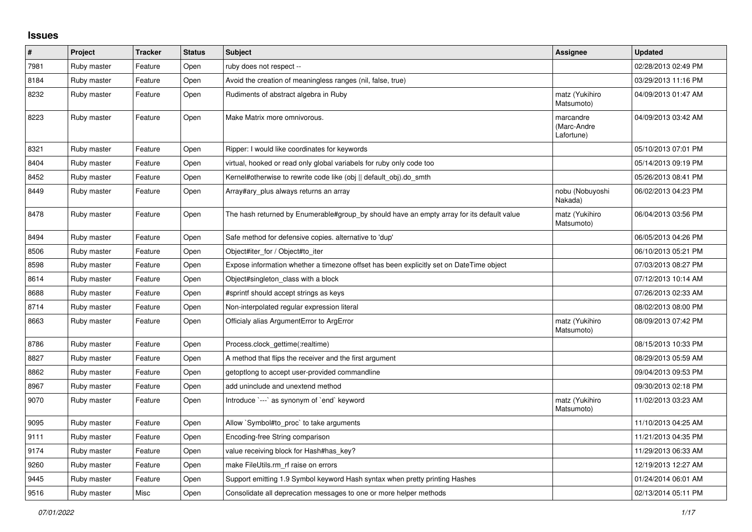## **Issues**

| $\vert$ # | Project     | <b>Tracker</b> | <b>Status</b> | <b>Subject</b>                                                                            | Assignee                               | <b>Updated</b>      |
|-----------|-------------|----------------|---------------|-------------------------------------------------------------------------------------------|----------------------------------------|---------------------|
| 7981      | Ruby master | Feature        | Open          | ruby does not respect --                                                                  |                                        | 02/28/2013 02:49 PM |
| 8184      | Ruby master | Feature        | Open          | Avoid the creation of meaningless ranges (nil, false, true)                               |                                        | 03/29/2013 11:16 PM |
| 8232      | Ruby master | Feature        | Open          | Rudiments of abstract algebra in Ruby                                                     | matz (Yukihiro<br>Matsumoto)           | 04/09/2013 01:47 AM |
| 8223      | Ruby master | Feature        | Open          | Make Matrix more omnivorous.                                                              | marcandre<br>(Marc-Andre<br>Lafortune) | 04/09/2013 03:42 AM |
| 8321      | Ruby master | Feature        | Open          | Ripper: I would like coordinates for keywords                                             |                                        | 05/10/2013 07:01 PM |
| 8404      | Ruby master | Feature        | Open          | virtual, hooked or read only global variabels for ruby only code too                      |                                        | 05/14/2013 09:19 PM |
| 8452      | Ruby master | Feature        | Open          | Kernel#otherwise to rewrite code like (obj    default obj).do smth                        |                                        | 05/26/2013 08:41 PM |
| 8449      | Ruby master | Feature        | Open          | Array#ary_plus always returns an array                                                    | nobu (Nobuyoshi<br>Nakada)             | 06/02/2013 04:23 PM |
| 8478      | Ruby master | Feature        | Open          | The hash returned by Enumerable#group_by should have an empty array for its default value | matz (Yukihiro<br>Matsumoto)           | 06/04/2013 03:56 PM |
| 8494      | Ruby master | Feature        | Open          | Safe method for defensive copies. alternative to 'dup'                                    |                                        | 06/05/2013 04:26 PM |
| 8506      | Ruby master | Feature        | Open          | Object#iter for / Object#to iter                                                          |                                        | 06/10/2013 05:21 PM |
| 8598      | Ruby master | Feature        | Open          | Expose information whether a timezone offset has been explicitly set on DateTime object   |                                        | 07/03/2013 08:27 PM |
| 8614      | Ruby master | Feature        | Open          | Object#singleton class with a block                                                       |                                        | 07/12/2013 10:14 AM |
| 8688      | Ruby master | Feature        | Open          | #sprintf should accept strings as keys                                                    |                                        | 07/26/2013 02:33 AM |
| 8714      | Ruby master | Feature        | Open          | Non-interpolated regular expression literal                                               |                                        | 08/02/2013 08:00 PM |
| 8663      | Ruby master | Feature        | Open          | Officialy alias ArgumentError to ArgError                                                 | matz (Yukihiro<br>Matsumoto)           | 08/09/2013 07:42 PM |
| 8786      | Ruby master | Feature        | Open          | Process.clock_gettime(:realtime)                                                          |                                        | 08/15/2013 10:33 PM |
| 8827      | Ruby master | Feature        | Open          | A method that flips the receiver and the first argument                                   |                                        | 08/29/2013 05:59 AM |
| 8862      | Ruby master | Feature        | Open          | getoptlong to accept user-provided commandline                                            |                                        | 09/04/2013 09:53 PM |
| 8967      | Ruby master | Feature        | Open          | add uninclude and unextend method                                                         |                                        | 09/30/2013 02:18 PM |
| 9070      | Ruby master | Feature        | Open          | Introduce `---` as synonym of `end` keyword                                               | matz (Yukihiro<br>Matsumoto)           | 11/02/2013 03:23 AM |
| 9095      | Ruby master | Feature        | Open          | Allow `Symbol#to_proc` to take arguments                                                  |                                        | 11/10/2013 04:25 AM |
| 9111      | Ruby master | Feature        | Open          | Encoding-free String comparison                                                           |                                        | 11/21/2013 04:35 PM |
| 9174      | Ruby master | Feature        | Open          | value receiving block for Hash#has key?                                                   |                                        | 11/29/2013 06:33 AM |
| 9260      | Ruby master | Feature        | Open          | make FileUtils.rm_rf raise on errors                                                      |                                        | 12/19/2013 12:27 AM |
| 9445      | Ruby master | Feature        | Open          | Support emitting 1.9 Symbol keyword Hash syntax when pretty printing Hashes               |                                        | 01/24/2014 06:01 AM |
| 9516      | Ruby master | Misc           | Open          | Consolidate all deprecation messages to one or more helper methods                        |                                        | 02/13/2014 05:11 PM |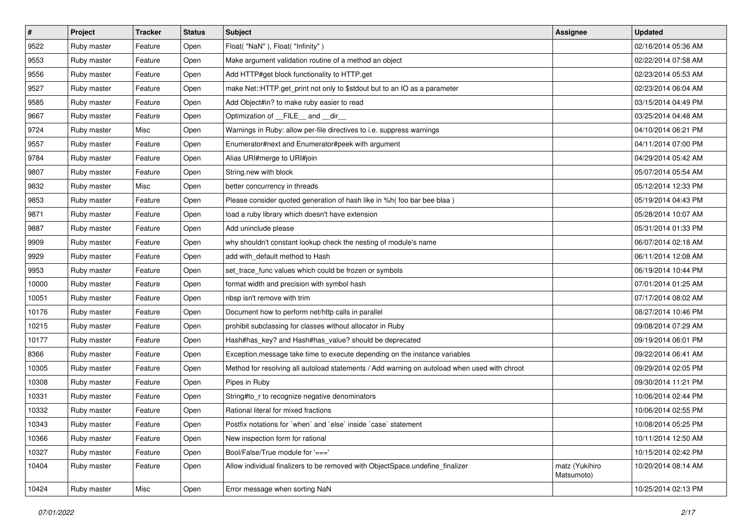| $\vert$ # | Project     | <b>Tracker</b> | <b>Status</b> | Subject                                                                                      | Assignee                     | <b>Updated</b>      |
|-----------|-------------|----------------|---------------|----------------------------------------------------------------------------------------------|------------------------------|---------------------|
| 9522      | Ruby master | Feature        | Open          | Float("NaN"), Float("Infinity")                                                              |                              | 02/16/2014 05:36 AM |
| 9553      | Ruby master | Feature        | Open          | Make argument validation routine of a method an object                                       |                              | 02/22/2014 07:58 AM |
| 9556      | Ruby master | Feature        | Open          | Add HTTP#get block functionality to HTTP.get                                                 |                              | 02/23/2014 05:53 AM |
| 9527      | Ruby master | Feature        | Open          | make Net::HTTP.get_print not only to \$stdout but to an IO as a parameter                    |                              | 02/23/2014 06:04 AM |
| 9585      | Ruby master | Feature        | Open          | Add Object#in? to make ruby easier to read                                                   |                              | 03/15/2014 04:49 PM |
| 9667      | Ruby master | Feature        | Open          | Optimization of FILE_and _dir_                                                               |                              | 03/25/2014 04:48 AM |
| 9724      | Ruby master | Misc           | Open          | Warnings in Ruby: allow per-file directives to i.e. suppress warnings                        |                              | 04/10/2014 06:21 PM |
| 9557      | Ruby master | Feature        | Open          | Enumerator#next and Enumerator#peek with argument                                            |                              | 04/11/2014 07:00 PM |
| 9784      | Ruby master | Feature        | Open          | Alias URI#merge to URI#join                                                                  |                              | 04/29/2014 05:42 AM |
| 9807      | Ruby master | Feature        | Open          | String.new with block                                                                        |                              | 05/07/2014 05:54 AM |
| 9832      | Ruby master | Misc           | Open          | better concurrency in threads                                                                |                              | 05/12/2014 12:33 PM |
| 9853      | Ruby master | Feature        | Open          | Please consider quoted generation of hash like in %h( foo bar bee blaa)                      |                              | 05/19/2014 04:43 PM |
| 9871      | Ruby master | Feature        | Open          | load a ruby library which doesn't have extension                                             |                              | 05/28/2014 10:07 AM |
| 9887      | Ruby master | Feature        | Open          | Add uninclude please                                                                         |                              | 05/31/2014 01:33 PM |
| 9909      | Ruby master | Feature        | Open          | why shouldn't constant lookup check the nesting of module's name                             |                              | 06/07/2014 02:18 AM |
| 9929      | Ruby master | Feature        | Open          | add with_default method to Hash                                                              |                              | 06/11/2014 12:08 AM |
| 9953      | Ruby master | Feature        | Open          | set_trace_func values which could be frozen or symbols                                       |                              | 06/19/2014 10:44 PM |
| 10000     | Ruby master | Feature        | Open          | format width and precision with symbol hash                                                  |                              | 07/01/2014 01:25 AM |
| 10051     | Ruby master | Feature        | Open          | nbsp isn't remove with trim                                                                  |                              | 07/17/2014 08:02 AM |
| 10176     | Ruby master | Feature        | Open          | Document how to perform net/http calls in parallel                                           |                              | 08/27/2014 10:46 PM |
| 10215     | Ruby master | Feature        | Open          | prohibit subclassing for classes without allocator in Ruby                                   |                              | 09/08/2014 07:29 AM |
| 10177     | Ruby master | Feature        | Open          | Hash#has_key? and Hash#has_value? should be deprecated                                       |                              | 09/19/2014 06:01 PM |
| 8366      | Ruby master | Feature        | Open          | Exception.message take time to execute depending on the instance variables                   |                              | 09/22/2014 06:41 AM |
| 10305     | Ruby master | Feature        | Open          | Method for resolving all autoload statements / Add warning on autoload when used with chroot |                              | 09/29/2014 02:05 PM |
| 10308     | Ruby master | Feature        | Open          | Pipes in Ruby                                                                                |                              | 09/30/2014 11:21 PM |
| 10331     | Ruby master | Feature        | Open          | String#to_r to recognize negative denominators                                               |                              | 10/06/2014 02:44 PM |
| 10332     | Ruby master | Feature        | Open          | Rational literal for mixed fractions                                                         |                              | 10/06/2014 02:55 PM |
| 10343     | Ruby master | Feature        | Open          | Postfix notations for 'when' and 'else' inside 'case' statement                              |                              | 10/08/2014 05:25 PM |
| 10366     | Ruby master | Feature        | Open          | New inspection form for rational                                                             |                              | 10/11/2014 12:50 AM |
| 10327     | Ruby master | Feature        | Open          | Bool/False/True module for '==='                                                             |                              | 10/15/2014 02:42 PM |
| 10404     | Ruby master | Feature        | Open          | Allow individual finalizers to be removed with ObjectSpace.undefine finalizer                | matz (Yukihiro<br>Matsumoto) | 10/20/2014 08:14 AM |
| 10424     | Ruby master | Misc           | Open          | Error message when sorting NaN                                                               |                              | 10/25/2014 02:13 PM |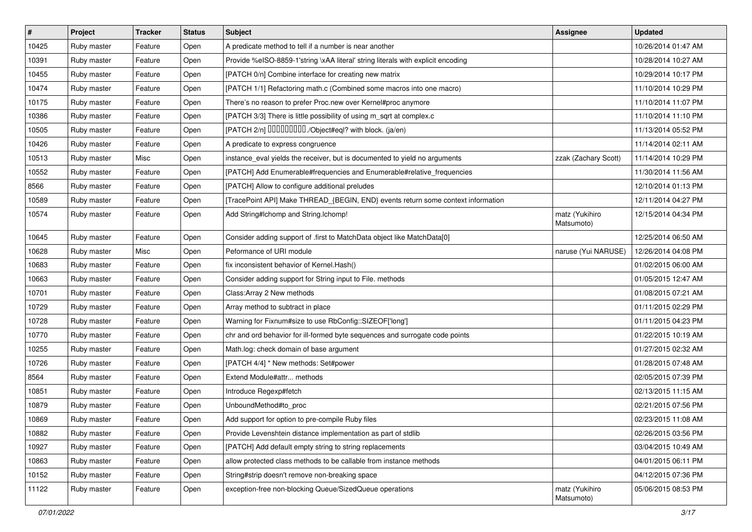| $\sharp$ | Project     | <b>Tracker</b> | <b>Status</b> | Subject                                                                          | Assignee                     | <b>Updated</b>      |
|----------|-------------|----------------|---------------|----------------------------------------------------------------------------------|------------------------------|---------------------|
| 10425    | Ruby master | Feature        | Open          | A predicate method to tell if a number is near another                           |                              | 10/26/2014 01:47 AM |
| 10391    | Ruby master | Feature        | Open          | Provide %eISO-8859-1'string \xAA literal' string literals with explicit encoding |                              | 10/28/2014 10:27 AM |
| 10455    | Ruby master | Feature        | Open          | [PATCH 0/n] Combine interface for creating new matrix                            |                              | 10/29/2014 10:17 PM |
| 10474    | Ruby master | Feature        | Open          | [PATCH 1/1] Refactoring math.c (Combined some macros into one macro)             |                              | 11/10/2014 10:29 PM |
| 10175    | Ruby master | Feature        | Open          | There's no reason to prefer Proc.new over Kernel#proc anymore                    |                              | 11/10/2014 11:07 PM |
| 10386    | Ruby master | Feature        | Open          | [PATCH 3/3] There is little possibility of using m_sqrt at complex.c             |                              | 11/10/2014 11:10 PM |
| 10505    | Ruby master | Feature        | Open          | [PATCH 2/n] DDDDDDDD./Object#eql? with block. (ja/en)                            |                              | 11/13/2014 05:52 PM |
| 10426    | Ruby master | Feature        | Open          | A predicate to express congruence                                                |                              | 11/14/2014 02:11 AM |
| 10513    | Ruby master | Misc           | Open          | instance_eval yields the receiver, but is documented to yield no arguments       | zzak (Zachary Scott)         | 11/14/2014 10:29 PM |
| 10552    | Ruby master | Feature        | Open          | [PATCH] Add Enumerable#frequencies and Enumerable#relative_frequencies           |                              | 11/30/2014 11:56 AM |
| 8566     | Ruby master | Feature        | Open          | [PATCH] Allow to configure additional preludes                                   |                              | 12/10/2014 01:13 PM |
| 10589    | Ruby master | Feature        | Open          | [TracePoint API] Make THREAD_{BEGIN, END} events return some context information |                              | 12/11/2014 04:27 PM |
| 10574    | Ruby master | Feature        | Open          | Add String#Ichomp and String.Ichomp!                                             | matz (Yukihiro<br>Matsumoto) | 12/15/2014 04:34 PM |
| 10645    | Ruby master | Feature        | Open          | Consider adding support of .first to MatchData object like MatchData[0]          |                              | 12/25/2014 06:50 AM |
| 10628    | Ruby master | Misc           | Open          | Peformance of URI module                                                         | naruse (Yui NARUSE)          | 12/26/2014 04:08 PM |
| 10683    | Ruby master | Feature        | Open          | fix inconsistent behavior of Kernel. Hash()                                      |                              | 01/02/2015 06:00 AM |
| 10663    | Ruby master | Feature        | Open          | Consider adding support for String input to File. methods                        |                              | 01/05/2015 12:47 AM |
| 10701    | Ruby master | Feature        | Open          | Class: Array 2 New methods                                                       |                              | 01/08/2015 07:21 AM |
| 10729    | Ruby master | Feature        | Open          | Array method to subtract in place                                                |                              | 01/11/2015 02:29 PM |
| 10728    | Ruby master | Feature        | Open          | Warning for Fixnum#size to use RbConfig::SIZEOF['long']                          |                              | 01/11/2015 04:23 PM |
| 10770    | Ruby master | Feature        | Open          | chr and ord behavior for ill-formed byte sequences and surrogate code points     |                              | 01/22/2015 10:19 AM |
| 10255    | Ruby master | Feature        | Open          | Math.log: check domain of base argument                                          |                              | 01/27/2015 02:32 AM |
| 10726    | Ruby master | Feature        | Open          | [PATCH 4/4] * New methods: Set#power                                             |                              | 01/28/2015 07:48 AM |
| 8564     | Ruby master | Feature        | Open          | Extend Module#attr methods                                                       |                              | 02/05/2015 07:39 PM |
| 10851    | Ruby master | Feature        | Open          | Introduce Regexp#fetch                                                           |                              | 02/13/2015 11:15 AM |
| 10879    | Ruby master | Feature        | Open          | UnboundMethod#to_proc                                                            |                              | 02/21/2015 07:56 PM |
| 10869    | Ruby master | Feature        | Open          | Add support for option to pre-compile Ruby files                                 |                              | 02/23/2015 11:08 AM |
| 10882    | Ruby master | Feature        | Open          | Provide Levenshtein distance implementation as part of stdlib                    |                              | 02/26/2015 03:56 PM |
| 10927    | Ruby master | Feature        | Open          | [PATCH] Add default empty string to string replacements                          |                              | 03/04/2015 10:49 AM |
| 10863    | Ruby master | Feature        | Open          | allow protected class methods to be callable from instance methods               |                              | 04/01/2015 06:11 PM |
| 10152    | Ruby master | Feature        | Open          | String#strip doesn't remove non-breaking space                                   |                              | 04/12/2015 07:36 PM |
| 11122    | Ruby master | Feature        | Open          | exception-free non-blocking Queue/SizedQueue operations                          | matz (Yukihiro<br>Matsumoto) | 05/06/2015 08:53 PM |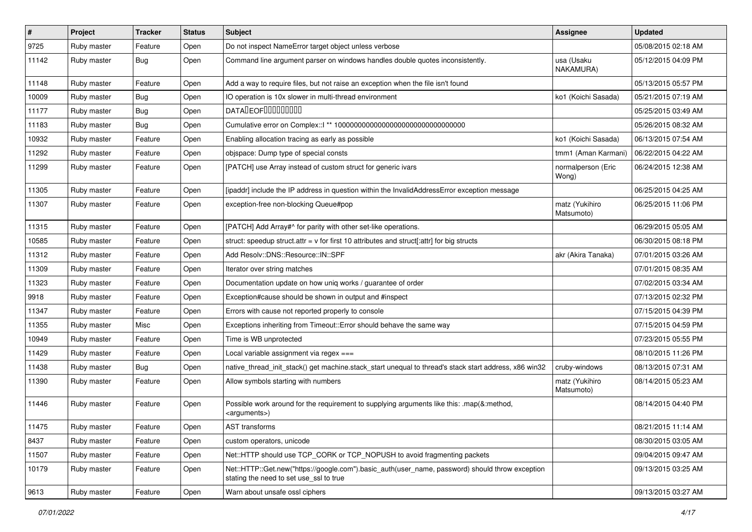| $\vert$ # | Project     | <b>Tracker</b> | <b>Status</b> | Subject                                                                                                                                    | Assignee                     | <b>Updated</b>      |
|-----------|-------------|----------------|---------------|--------------------------------------------------------------------------------------------------------------------------------------------|------------------------------|---------------------|
| 9725      | Ruby master | Feature        | Open          | Do not inspect NameError target object unless verbose                                                                                      |                              | 05/08/2015 02:18 AM |
| 11142     | Ruby master | <b>Bug</b>     | Open          | Command line argument parser on windows handles double quotes inconsistently.                                                              | usa (Usaku<br>NAKAMURA)      | 05/12/2015 04:09 PM |
| 11148     | Ruby master | Feature        | Open          | Add a way to require files, but not raise an exception when the file isn't found                                                           |                              | 05/13/2015 05:57 PM |
| 10009     | Ruby master | <b>Bug</b>     | Open          | IO operation is 10x slower in multi-thread environment                                                                                     | ko1 (Koichi Sasada)          | 05/21/2015 07:19 AM |
| 11177     | Ruby master | <b>Bug</b>     | Open          | DATALEOFILLLLLLLLLL                                                                                                                        |                              | 05/25/2015 03:49 AM |
| 11183     | Ruby master | <b>Bug</b>     | Open          |                                                                                                                                            |                              | 05/26/2015 08:32 AM |
| 10932     | Ruby master | Feature        | Open          | Enabling allocation tracing as early as possible                                                                                           | ko1 (Koichi Sasada)          | 06/13/2015 07:54 AM |
| 11292     | Ruby master | Feature        | Open          | objspace: Dump type of special consts                                                                                                      | tmm1 (Aman Karmani)          | 06/22/2015 04:22 AM |
| 11299     | Ruby master | Feature        | Open          | [PATCH] use Array instead of custom struct for generic ivars                                                                               | normalperson (Eric<br>Wong)  | 06/24/2015 12:38 AM |
| 11305     | Ruby master | Feature        | Open          | [ipaddr] include the IP address in question within the InvalidAddressError exception message                                               |                              | 06/25/2015 04:25 AM |
| 11307     | Ruby master | Feature        | Open          | exception-free non-blocking Queue#pop                                                                                                      | matz (Yukihiro<br>Matsumoto) | 06/25/2015 11:06 PM |
| 11315     | Ruby master | Feature        | Open          | [PATCH] Add Array#^ for parity with other set-like operations.                                                                             |                              | 06/29/2015 05:05 AM |
| 10585     | Ruby master | Feature        | Open          | struct: speedup struct.attr = $v$ for first 10 attributes and struct[:attr] for big structs                                                |                              | 06/30/2015 08:18 PM |
| 11312     | Ruby master | Feature        | Open          | Add Resolv::DNS::Resource::IN::SPF                                                                                                         | akr (Akira Tanaka)           | 07/01/2015 03:26 AM |
| 11309     | Ruby master | Feature        | Open          | Iterator over string matches                                                                                                               |                              | 07/01/2015 08:35 AM |
| 11323     | Ruby master | Feature        | Open          | Documentation update on how uniq works / guarantee of order                                                                                |                              | 07/02/2015 03:34 AM |
| 9918      | Ruby master | Feature        | Open          | Exception#cause should be shown in output and #inspect                                                                                     |                              | 07/13/2015 02:32 PM |
| 11347     | Ruby master | Feature        | Open          | Errors with cause not reported properly to console                                                                                         |                              | 07/15/2015 04:39 PM |
| 11355     | Ruby master | Misc           | Open          | Exceptions inheriting from Timeout:: Error should behave the same way                                                                      |                              | 07/15/2015 04:59 PM |
| 10949     | Ruby master | Feature        | Open          | Time is WB unprotected                                                                                                                     |                              | 07/23/2015 05:55 PM |
| 11429     | Ruby master | Feature        | Open          | Local variable assignment via regex ===                                                                                                    |                              | 08/10/2015 11:26 PM |
| 11438     | Ruby master | <b>Bug</b>     | Open          | native_thread_init_stack() get machine.stack_start unequal to thread's stack start address, x86 win32                                      | cruby-windows                | 08/13/2015 07:31 AM |
| 11390     | Ruby master | Feature        | Open          | Allow symbols starting with numbers                                                                                                        | matz (Yukihiro<br>Matsumoto) | 08/14/2015 05:23 AM |
| 11446     | Ruby master | Feature        | Open          | Possible work around for the requirement to supplying arguments like this: .map(&:method,<br><arguments>)</arguments>                      |                              | 08/14/2015 04:40 PM |
| 11475     | Ruby master | Feature        | Open          | AST transforms                                                                                                                             |                              | 08/21/2015 11:14 AM |
| 8437      | Ruby master | Feature        | Open          | custom operators, unicode                                                                                                                  |                              | 08/30/2015 03:05 AM |
| 11507     | Ruby master | Feature        | Open          | Net::HTTP should use TCP CORK or TCP NOPUSH to avoid fragmenting packets                                                                   |                              | 09/04/2015 09:47 AM |
| 10179     | Ruby master | Feature        | Open          | Net::HTTP::Get.new("https://google.com").basic_auth(user_name, password) should throw exception<br>stating the need to set use ssl to true |                              | 09/13/2015 03:25 AM |
| 9613      | Ruby master | Feature        | Open          | Warn about unsafe ossl ciphers                                                                                                             |                              | 09/13/2015 03:27 AM |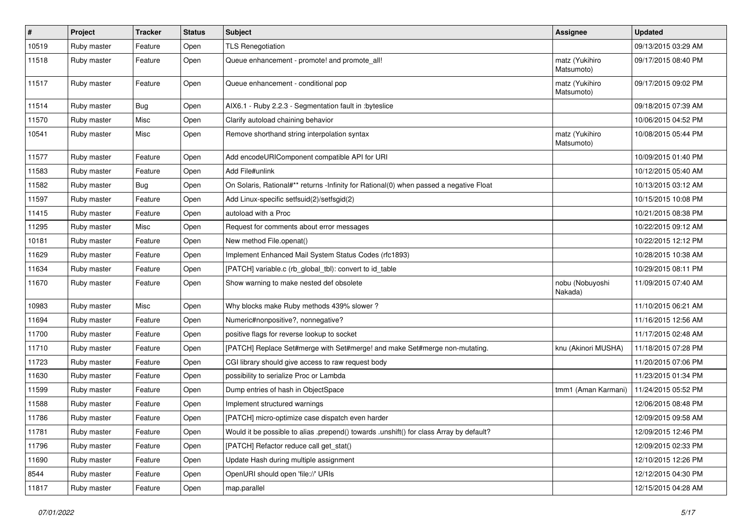| #     | Project     | <b>Tracker</b> | <b>Status</b> | <b>Subject</b>                                                                          | <b>Assignee</b>              | <b>Updated</b>      |
|-------|-------------|----------------|---------------|-----------------------------------------------------------------------------------------|------------------------------|---------------------|
| 10519 | Ruby master | Feature        | Open          | <b>TLS Renegotiation</b>                                                                |                              | 09/13/2015 03:29 AM |
| 11518 | Ruby master | Feature        | Open          | Queue enhancement - promote! and promote_all!                                           | matz (Yukihiro<br>Matsumoto) | 09/17/2015 08:40 PM |
| 11517 | Ruby master | Feature        | Open          | Queue enhancement - conditional pop                                                     | matz (Yukihiro<br>Matsumoto) | 09/17/2015 09:02 PM |
| 11514 | Ruby master | <b>Bug</b>     | Open          | AIX6.1 - Ruby 2.2.3 - Segmentation fault in :byteslice                                  |                              | 09/18/2015 07:39 AM |
| 11570 | Ruby master | Misc           | Open          | Clarify autoload chaining behavior                                                      |                              | 10/06/2015 04:52 PM |
| 10541 | Ruby master | Misc           | Open          | Remove shorthand string interpolation syntax                                            | matz (Yukihiro<br>Matsumoto) | 10/08/2015 05:44 PM |
| 11577 | Ruby master | Feature        | Open          | Add encodeURIComponent compatible API for URI                                           |                              | 10/09/2015 01:40 PM |
| 11583 | Ruby master | Feature        | Open          | Add File#unlink                                                                         |                              | 10/12/2015 05:40 AM |
| 11582 | Ruby master | <b>Bug</b>     | Open          | On Solaris, Rational#** returns -Infinity for Rational(0) when passed a negative Float  |                              | 10/13/2015 03:12 AM |
| 11597 | Ruby master | Feature        | Open          | Add Linux-specific setfsuid(2)/setfsgid(2)                                              |                              | 10/15/2015 10:08 PM |
| 11415 | Ruby master | Feature        | Open          | autoload with a Proc                                                                    |                              | 10/21/2015 08:38 PM |
| 11295 | Ruby master | Misc           | Open          | Request for comments about error messages                                               |                              | 10/22/2015 09:12 AM |
| 10181 | Ruby master | Feature        | Open          | New method File.openat()                                                                |                              | 10/22/2015 12:12 PM |
| 11629 | Ruby master | Feature        | Open          | Implement Enhanced Mail System Status Codes (rfc1893)                                   |                              | 10/28/2015 10:38 AM |
| 11634 | Ruby master | Feature        | Open          | [PATCH] variable.c (rb_global_tbl): convert to id_table                                 |                              | 10/29/2015 08:11 PM |
| 11670 | Ruby master | Feature        | Open          | Show warning to make nested def obsolete                                                | nobu (Nobuyoshi<br>Nakada)   | 11/09/2015 07:40 AM |
| 10983 | Ruby master | Misc           | Open          | Why blocks make Ruby methods 439% slower?                                               |                              | 11/10/2015 06:21 AM |
| 11694 | Ruby master | Feature        | Open          | Numeric#nonpositive?, nonnegative?                                                      |                              | 11/16/2015 12:56 AM |
| 11700 | Ruby master | Feature        | Open          | positive flags for reverse lookup to socket                                             |                              | 11/17/2015 02:48 AM |
| 11710 | Ruby master | Feature        | Open          | [PATCH] Replace Set#merge with Set#merge! and make Set#merge non-mutating.              | knu (Akinori MUSHA)          | 11/18/2015 07:28 PM |
| 11723 | Ruby master | Feature        | Open          | CGI library should give access to raw request body                                      |                              | 11/20/2015 07:06 PM |
| 11630 | Ruby master | Feature        | Open          | possibility to serialize Proc or Lambda                                                 |                              | 11/23/2015 01:34 PM |
| 11599 | Ruby master | Feature        | Open          | Dump entries of hash in ObjectSpace                                                     | tmm1 (Aman Karmani)          | 11/24/2015 05:52 PM |
| 11588 | Ruby master | Feature        | Open          | Implement structured warnings                                                           |                              | 12/06/2015 08:48 PM |
| 11786 | Ruby master | Feature        | Open          | [PATCH] micro-optimize case dispatch even harder                                        |                              | 12/09/2015 09:58 AM |
| 11781 | Ruby master | Feature        | Open          | Would it be possible to alias .prepend() towards .unshift() for class Array by default? |                              | 12/09/2015 12:46 PM |
| 11796 | Ruby master | Feature        | Open          | [PATCH] Refactor reduce call get_stat()                                                 |                              | 12/09/2015 02:33 PM |
| 11690 | Ruby master | Feature        | Open          | Update Hash during multiple assignment                                                  |                              | 12/10/2015 12:26 PM |
| 8544  | Ruby master | Feature        | Open          | OpenURI should open 'file://' URIs                                                      |                              | 12/12/2015 04:30 PM |
| 11817 | Ruby master | Feature        | Open          | map.parallel                                                                            |                              | 12/15/2015 04:28 AM |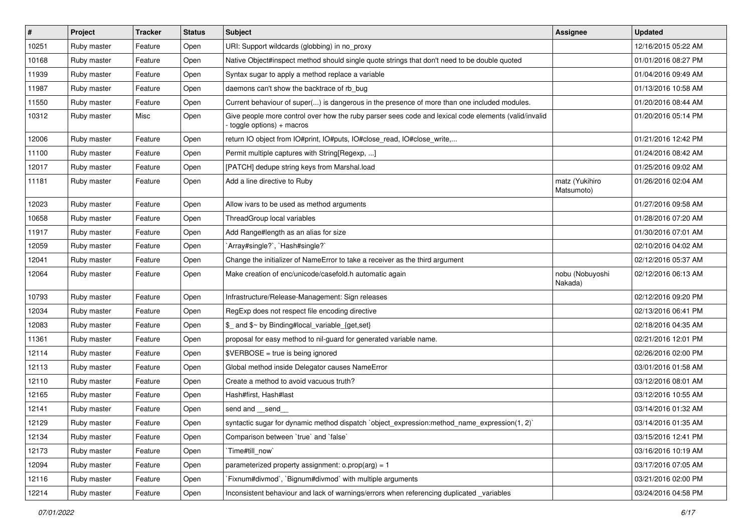| $\vert$ # | Project     | <b>Tracker</b> | <b>Status</b> | <b>Subject</b>                                                                                                                   | <b>Assignee</b>              | <b>Updated</b>      |
|-----------|-------------|----------------|---------------|----------------------------------------------------------------------------------------------------------------------------------|------------------------------|---------------------|
| 10251     | Ruby master | Feature        | Open          | URI: Support wildcards (globbing) in no_proxy                                                                                    |                              | 12/16/2015 05:22 AM |
| 10168     | Ruby master | Feature        | Open          | Native Object#inspect method should single quote strings that don't need to be double quoted                                     |                              | 01/01/2016 08:27 PM |
| 11939     | Ruby master | Feature        | Open          | Syntax sugar to apply a method replace a variable                                                                                |                              | 01/04/2016 09:49 AM |
| 11987     | Ruby master | Feature        | Open          | daemons can't show the backtrace of rb bug                                                                                       |                              | 01/13/2016 10:58 AM |
| 11550     | Ruby master | Feature        | Open          | Current behaviour of super() is dangerous in the presence of more than one included modules.                                     |                              | 01/20/2016 08:44 AM |
| 10312     | Ruby master | Misc           | Open          | Give people more control over how the ruby parser sees code and lexical code elements (valid/invalid<br>toggle options) + macros |                              | 01/20/2016 05:14 PM |
| 12006     | Ruby master | Feature        | Open          | return IO object from IO#print, IO#puts, IO#close_read, IO#close_write,                                                          |                              | 01/21/2016 12:42 PM |
| 11100     | Ruby master | Feature        | Open          | Permit multiple captures with String[Regexp, ]                                                                                   |                              | 01/24/2016 08:42 AM |
| 12017     | Ruby master | Feature        | Open          | [PATCH] dedupe string keys from Marshal.load                                                                                     |                              | 01/25/2016 09:02 AM |
| 11181     | Ruby master | Feature        | Open          | Add a line directive to Ruby                                                                                                     | matz (Yukihiro<br>Matsumoto) | 01/26/2016 02:04 AM |
| 12023     | Ruby master | Feature        | Open          | Allow ivars to be used as method arguments                                                                                       |                              | 01/27/2016 09:58 AM |
| 10658     | Ruby master | Feature        | Open          | ThreadGroup local variables                                                                                                      |                              | 01/28/2016 07:20 AM |
| 11917     | Ruby master | Feature        | Open          | Add Range#length as an alias for size                                                                                            |                              | 01/30/2016 07:01 AM |
| 12059     | Ruby master | Feature        | Open          | 'Array#single?', 'Hash#single?'                                                                                                  |                              | 02/10/2016 04:02 AM |
| 12041     | Ruby master | Feature        | Open          | Change the initializer of NameError to take a receiver as the third argument                                                     |                              | 02/12/2016 05:37 AM |
| 12064     | Ruby master | Feature        | Open          | Make creation of enc/unicode/casefold.h automatic again                                                                          | nobu (Nobuyoshi<br>Nakada)   | 02/12/2016 06:13 AM |
| 10793     | Ruby master | Feature        | Open          | Infrastructure/Release-Management: Sign releases                                                                                 |                              | 02/12/2016 09:20 PM |
| 12034     | Ruby master | Feature        | Open          | RegExp does not respect file encoding directive                                                                                  |                              | 02/13/2016 06:41 PM |
| 12083     | Ruby master | Feature        | Open          | \$_ and \$~ by Binding#local_variable_{get,set}                                                                                  |                              | 02/18/2016 04:35 AM |
| 11361     | Ruby master | Feature        | Open          | proposal for easy method to nil-guard for generated variable name.                                                               |                              | 02/21/2016 12:01 PM |
| 12114     | Ruby master | Feature        | Open          | $\texttt{SVERBOSE}$ = true is being ignored                                                                                      |                              | 02/26/2016 02:00 PM |
| 12113     | Ruby master | Feature        | Open          | Global method inside Delegator causes NameError                                                                                  |                              | 03/01/2016 01:58 AM |
| 12110     | Ruby master | Feature        | Open          | Create a method to avoid vacuous truth?                                                                                          |                              | 03/12/2016 08:01 AM |
| 12165     | Ruby master | Feature        | Open          | Hash#first, Hash#last                                                                                                            |                              | 03/12/2016 10:55 AM |
| 12141     | Ruby master | Feature        | Open          | send and __send_                                                                                                                 |                              | 03/14/2016 01:32 AM |
| 12129     | Ruby master | Feature        | Open          | syntactic sugar for dynamic method dispatch `object_expression:method_name_expression(1, 2)`                                     |                              | 03/14/2016 01:35 AM |
| 12134     | Ruby master | Feature        | Open          | Comparison between 'true' and 'false'                                                                                            |                              | 03/15/2016 12:41 PM |
| 12173     | Ruby master | Feature        | Open          | Time#till_now`                                                                                                                   |                              | 03/16/2016 10:19 AM |
| 12094     | Ruby master | Feature        | Open          | parameterized property assignment: $o.prop(arg) = 1$                                                                             |                              | 03/17/2016 07:05 AM |
| 12116     | Ruby master | Feature        | Open          | Fixnum#divmod`, `Bignum#divmod` with multiple arguments                                                                          |                              | 03/21/2016 02:00 PM |
| 12214     | Ruby master | Feature        | Open          | Inconsistent behaviour and lack of warnings/errors when referencing duplicated _variables                                        |                              | 03/24/2016 04:58 PM |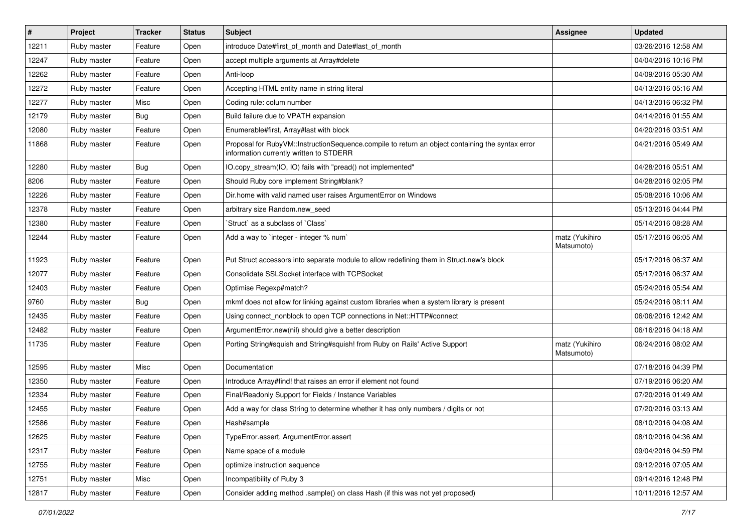| $\sharp$ | Project     | <b>Tracker</b> | <b>Status</b> | <b>Subject</b>                                                                                                                              | Assignee                     | <b>Updated</b>      |
|----------|-------------|----------------|---------------|---------------------------------------------------------------------------------------------------------------------------------------------|------------------------------|---------------------|
| 12211    | Ruby master | Feature        | Open          | introduce Date#first_of_month and Date#last_of_month                                                                                        |                              | 03/26/2016 12:58 AM |
| 12247    | Ruby master | Feature        | Open          | accept multiple arguments at Array#delete                                                                                                   |                              | 04/04/2016 10:16 PM |
| 12262    | Ruby master | Feature        | Open          | Anti-loop                                                                                                                                   |                              | 04/09/2016 05:30 AM |
| 12272    | Ruby master | Feature        | Open          | Accepting HTML entity name in string literal                                                                                                |                              | 04/13/2016 05:16 AM |
| 12277    | Ruby master | Misc           | Open          | Coding rule: colum number                                                                                                                   |                              | 04/13/2016 06:32 PM |
| 12179    | Ruby master | <b>Bug</b>     | Open          | Build failure due to VPATH expansion                                                                                                        |                              | 04/14/2016 01:55 AM |
| 12080    | Ruby master | Feature        | Open          | Enumerable#first, Array#last with block                                                                                                     |                              | 04/20/2016 03:51 AM |
| 11868    | Ruby master | Feature        | Open          | Proposal for RubyVM::InstructionSequence.compile to return an object containing the syntax error<br>information currently written to STDERR |                              | 04/21/2016 05:49 AM |
| 12280    | Ruby master | Bug            | Open          | IO.copy_stream(IO, IO) fails with "pread() not implemented"                                                                                 |                              | 04/28/2016 05:51 AM |
| 8206     | Ruby master | Feature        | Open          | Should Ruby core implement String#blank?                                                                                                    |                              | 04/28/2016 02:05 PM |
| 12226    | Ruby master | Feature        | Open          | Dir.home with valid named user raises ArgumentError on Windows                                                                              |                              | 05/08/2016 10:06 AM |
| 12378    | Ruby master | Feature        | Open          | arbitrary size Random.new seed                                                                                                              |                              | 05/13/2016 04:44 PM |
| 12380    | Ruby master | Feature        | Open          | 'Struct' as a subclass of 'Class'                                                                                                           |                              | 05/14/2016 08:28 AM |
| 12244    | Ruby master | Feature        | Open          | Add a way to `integer - integer % num`                                                                                                      | matz (Yukihiro<br>Matsumoto) | 05/17/2016 06:05 AM |
| 11923    | Ruby master | Feature        | Open          | Put Struct accessors into separate module to allow redefining them in Struct.new's block                                                    |                              | 05/17/2016 06:37 AM |
| 12077    | Ruby master | Feature        | Open          | Consolidate SSLSocket interface with TCPSocket                                                                                              |                              | 05/17/2016 06:37 AM |
| 12403    | Ruby master | Feature        | Open          | Optimise Regexp#match?                                                                                                                      |                              | 05/24/2016 05:54 AM |
| 9760     | Ruby master | <b>Bug</b>     | Open          | mkmf does not allow for linking against custom libraries when a system library is present                                                   |                              | 05/24/2016 08:11 AM |
| 12435    | Ruby master | Feature        | Open          | Using connect_nonblock to open TCP connections in Net::HTTP#connect                                                                         |                              | 06/06/2016 12:42 AM |
| 12482    | Ruby master | Feature        | Open          | ArgumentError.new(nil) should give a better description                                                                                     |                              | 06/16/2016 04:18 AM |
| 11735    | Ruby master | Feature        | Open          | Porting String#squish and String#squish! from Ruby on Rails' Active Support                                                                 | matz (Yukihiro<br>Matsumoto) | 06/24/2016 08:02 AM |
| 12595    | Ruby master | Misc           | Open          | Documentation                                                                                                                               |                              | 07/18/2016 04:39 PM |
| 12350    | Ruby master | Feature        | Open          | Introduce Array#find! that raises an error if element not found                                                                             |                              | 07/19/2016 06:20 AM |
| 12334    | Ruby master | Feature        | Open          | Final/Readonly Support for Fields / Instance Variables                                                                                      |                              | 07/20/2016 01:49 AM |
| 12455    | Ruby master | Feature        | Open          | Add a way for class String to determine whether it has only numbers / digits or not                                                         |                              | 07/20/2016 03:13 AM |
| 12586    | Ruby master | Feature        | Open          | Hash#sample                                                                                                                                 |                              | 08/10/2016 04:08 AM |
| 12625    | Ruby master | Feature        | Open          | TypeError.assert, ArgumentError.assert                                                                                                      |                              | 08/10/2016 04:36 AM |
| 12317    | Ruby master | Feature        | Open          | Name space of a module                                                                                                                      |                              | 09/04/2016 04:59 PM |
| 12755    | Ruby master | Feature        | Open          | optimize instruction sequence                                                                                                               |                              | 09/12/2016 07:05 AM |
| 12751    | Ruby master | Misc           | Open          | Incompatibility of Ruby 3                                                                                                                   |                              | 09/14/2016 12:48 PM |
| 12817    | Ruby master | Feature        | Open          | Consider adding method .sample() on class Hash (if this was not yet proposed)                                                               |                              | 10/11/2016 12:57 AM |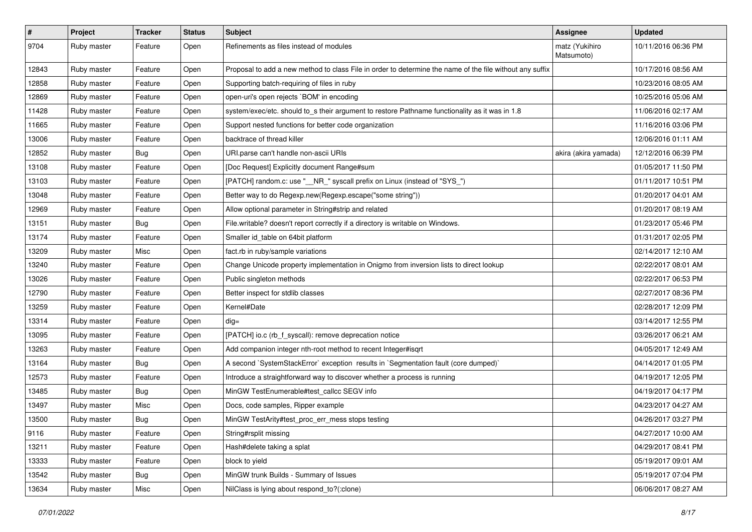| #     | Project     | <b>Tracker</b> | <b>Status</b> | <b>Subject</b>                                                                                           | Assignee                     | <b>Updated</b>      |
|-------|-------------|----------------|---------------|----------------------------------------------------------------------------------------------------------|------------------------------|---------------------|
| 9704  | Ruby master | Feature        | Open          | Refinements as files instead of modules                                                                  | matz (Yukihiro<br>Matsumoto) | 10/11/2016 06:36 PM |
| 12843 | Ruby master | Feature        | Open          | Proposal to add a new method to class File in order to determine the name of the file without any suffix |                              | 10/17/2016 08:56 AM |
| 12858 | Ruby master | Feature        | Open          | Supporting batch-requiring of files in ruby                                                              |                              | 10/23/2016 08:05 AM |
| 12869 | Ruby master | Feature        | Open          | open-uri's open rejects `BOM' in encoding                                                                |                              | 10/25/2016 05:06 AM |
| 11428 | Ruby master | Feature        | Open          | system/exec/etc. should to_s their argument to restore Pathname functionality as it was in 1.8           |                              | 11/06/2016 02:17 AM |
| 11665 | Ruby master | Feature        | Open          | Support nested functions for better code organization                                                    |                              | 11/16/2016 03:06 PM |
| 13006 | Ruby master | Feature        | Open          | backtrace of thread killer                                                                               |                              | 12/06/2016 01:11 AM |
| 12852 | Ruby master | <b>Bug</b>     | Open          | URI.parse can't handle non-ascii URIs                                                                    | akira (akira yamada)         | 12/12/2016 06:39 PM |
| 13108 | Ruby master | Feature        | Open          | [Doc Request] Explicitly document Range#sum                                                              |                              | 01/05/2017 11:50 PM |
| 13103 | Ruby master | Feature        | Open          | [PATCH] random.c: use "__NR_" syscall prefix on Linux (instead of "SYS_")                                |                              | 01/11/2017 10:51 PM |
| 13048 | Ruby master | Feature        | Open          | Better way to do Regexp.new(Regexp.escape("some string"))                                                |                              | 01/20/2017 04:01 AM |
| 12969 | Ruby master | Feature        | Open          | Allow optional parameter in String#strip and related                                                     |                              | 01/20/2017 08:19 AM |
| 13151 | Ruby master | <b>Bug</b>     | Open          | File.writable? doesn't report correctly if a directory is writable on Windows.                           |                              | 01/23/2017 05:46 PM |
| 13174 | Ruby master | Feature        | Open          | Smaller id_table on 64bit platform                                                                       |                              | 01/31/2017 02:05 PM |
| 13209 | Ruby master | Misc           | Open          | fact.rb in ruby/sample variations                                                                        |                              | 02/14/2017 12:10 AM |
| 13240 | Ruby master | Feature        | Open          | Change Unicode property implementation in Onigmo from inversion lists to direct lookup                   |                              | 02/22/2017 08:01 AM |
| 13026 | Ruby master | Feature        | Open          | Public singleton methods                                                                                 |                              | 02/22/2017 06:53 PM |
| 12790 | Ruby master | Feature        | Open          | Better inspect for stdlib classes                                                                        |                              | 02/27/2017 08:36 PM |
| 13259 | Ruby master | Feature        | Open          | Kernel#Date                                                                                              |                              | 02/28/2017 12:09 PM |
| 13314 | Ruby master | Feature        | Open          | $dig =$                                                                                                  |                              | 03/14/2017 12:55 PM |
| 13095 | Ruby master | Feature        | Open          | [PATCH] io.c (rb_f_syscall): remove deprecation notice                                                   |                              | 03/26/2017 06:21 AM |
| 13263 | Ruby master | Feature        | Open          | Add companion integer nth-root method to recent Integer#isqrt                                            |                              | 04/05/2017 12:49 AM |
| 13164 | Ruby master | <b>Bug</b>     | Open          | A second `SystemStackError` exception results in `Segmentation fault (core dumped)`                      |                              | 04/14/2017 01:05 PM |
| 12573 | Ruby master | Feature        | Open          | Introduce a straightforward way to discover whether a process is running                                 |                              | 04/19/2017 12:05 PM |
| 13485 | Ruby master | <b>Bug</b>     | Open          | MinGW TestEnumerable#test_callcc SEGV info                                                               |                              | 04/19/2017 04:17 PM |
| 13497 | Ruby master | Misc           | Open          | Docs, code samples, Ripper example                                                                       |                              | 04/23/2017 04:27 AM |
| 13500 | Ruby master | Bug            | Open          | MinGW TestArity#test_proc_err_mess stops testing                                                         |                              | 04/26/2017 03:27 PM |
| 9116  | Ruby master | Feature        | Open          | String#rsplit missing                                                                                    |                              | 04/27/2017 10:00 AM |
| 13211 | Ruby master | Feature        | Open          | Hash#delete taking a splat                                                                               |                              | 04/29/2017 08:41 PM |
| 13333 | Ruby master | Feature        | Open          | block to yield                                                                                           |                              | 05/19/2017 09:01 AM |
| 13542 | Ruby master | <b>Bug</b>     | Open          | MinGW trunk Builds - Summary of Issues                                                                   |                              | 05/19/2017 07:04 PM |
| 13634 | Ruby master | Misc           | Open          | NilClass is lying about respond_to?(:clone)                                                              |                              | 06/06/2017 08:27 AM |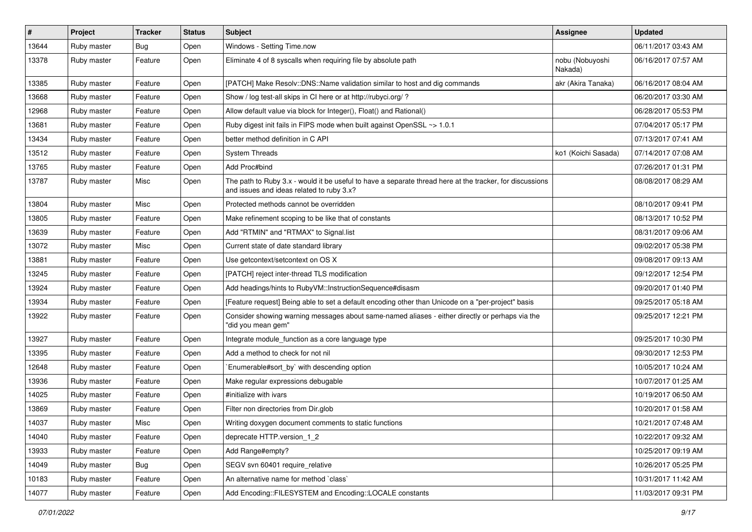| $\vert$ # | Project     | <b>Tracker</b> | <b>Status</b> | Subject                                                                                                                                               | Assignee                   | <b>Updated</b>      |
|-----------|-------------|----------------|---------------|-------------------------------------------------------------------------------------------------------------------------------------------------------|----------------------------|---------------------|
| 13644     | Ruby master | Bug            | Open          | Windows - Setting Time.now                                                                                                                            |                            | 06/11/2017 03:43 AM |
| 13378     | Ruby master | Feature        | Open          | Eliminate 4 of 8 syscalls when requiring file by absolute path                                                                                        | nobu (Nobuyoshi<br>Nakada) | 06/16/2017 07:57 AM |
| 13385     | Ruby master | Feature        | Open          | [PATCH] Make Resolv::DNS::Name validation similar to host and dig commands                                                                            | akr (Akira Tanaka)         | 06/16/2017 08:04 AM |
| 13668     | Ruby master | Feature        | Open          | Show / log test-all skips in CI here or at http://rubyci.org/ ?                                                                                       |                            | 06/20/2017 03:30 AM |
| 12968     | Ruby master | Feature        | Open          | Allow default value via block for Integer(), Float() and Rational()                                                                                   |                            | 06/28/2017 05:53 PM |
| 13681     | Ruby master | Feature        | Open          | Ruby digest init fails in FIPS mode when built against OpenSSL ~> 1.0.1                                                                               |                            | 07/04/2017 05:17 PM |
| 13434     | Ruby master | Feature        | Open          | better method definition in C API                                                                                                                     |                            | 07/13/2017 07:41 AM |
| 13512     | Ruby master | Feature        | Open          | <b>System Threads</b>                                                                                                                                 | ko1 (Koichi Sasada)        | 07/14/2017 07:08 AM |
| 13765     | Ruby master | Feature        | Open          | Add Proc#bind                                                                                                                                         |                            | 07/26/2017 01:31 PM |
| 13787     | Ruby master | Misc           | Open          | The path to Ruby 3.x - would it be useful to have a separate thread here at the tracker, for discussions<br>and issues and ideas related to ruby 3.x? |                            | 08/08/2017 08:29 AM |
| 13804     | Ruby master | Misc           | Open          | Protected methods cannot be overridden                                                                                                                |                            | 08/10/2017 09:41 PM |
| 13805     | Ruby master | Feature        | Open          | Make refinement scoping to be like that of constants                                                                                                  |                            | 08/13/2017 10:52 PM |
| 13639     | Ruby master | Feature        | Open          | Add "RTMIN" and "RTMAX" to Signal.list                                                                                                                |                            | 08/31/2017 09:06 AM |
| 13072     | Ruby master | Misc           | Open          | Current state of date standard library                                                                                                                |                            | 09/02/2017 05:38 PM |
| 13881     | Ruby master | Feature        | Open          | Use getcontext/setcontext on OS X                                                                                                                     |                            | 09/08/2017 09:13 AM |
| 13245     | Ruby master | Feature        | Open          | [PATCH] reject inter-thread TLS modification                                                                                                          |                            | 09/12/2017 12:54 PM |
| 13924     | Ruby master | Feature        | Open          | Add headings/hints to RubyVM::InstructionSequence#disasm                                                                                              |                            | 09/20/2017 01:40 PM |
| 13934     | Ruby master | Feature        | Open          | [Feature request] Being able to set a default encoding other than Unicode on a "per-project" basis                                                    |                            | 09/25/2017 05:18 AM |
| 13922     | Ruby master | Feature        | Open          | Consider showing warning messages about same-named aliases - either directly or perhaps via the<br>"did you mean gem"                                 |                            | 09/25/2017 12:21 PM |
| 13927     | Ruby master | Feature        | Open          | Integrate module_function as a core language type                                                                                                     |                            | 09/25/2017 10:30 PM |
| 13395     | Ruby master | Feature        | Open          | Add a method to check for not nil                                                                                                                     |                            | 09/30/2017 12:53 PM |
| 12648     | Ruby master | Feature        | Open          | Enumerable#sort_by` with descending option                                                                                                            |                            | 10/05/2017 10:24 AM |
| 13936     | Ruby master | Feature        | Open          | Make regular expressions debugable                                                                                                                    |                            | 10/07/2017 01:25 AM |
| 14025     | Ruby master | Feature        | Open          | #initialize with ivars                                                                                                                                |                            | 10/19/2017 06:50 AM |
| 13869     | Ruby master | Feature        | Open          | Filter non directories from Dir.glob                                                                                                                  |                            | 10/20/2017 01:58 AM |
| 14037     | Ruby master | Misc           | Open          | Writing doxygen document comments to static functions                                                                                                 |                            | 10/21/2017 07:48 AM |
| 14040     | Ruby master | Feature        | Open          | deprecate HTTP.version 1 2                                                                                                                            |                            | 10/22/2017 09:32 AM |
| 13933     | Ruby master | Feature        | Open          | Add Range#empty?                                                                                                                                      |                            | 10/25/2017 09:19 AM |
| 14049     | Ruby master | <b>Bug</b>     | Open          | SEGV svn 60401 require_relative                                                                                                                       |                            | 10/26/2017 05:25 PM |
| 10183     | Ruby master | Feature        | Open          | An alternative name for method `class`                                                                                                                |                            | 10/31/2017 11:42 AM |
| 14077     | Ruby master | Feature        | Open          | Add Encoding::FILESYSTEM and Encoding::LOCALE constants                                                                                               |                            | 11/03/2017 09:31 PM |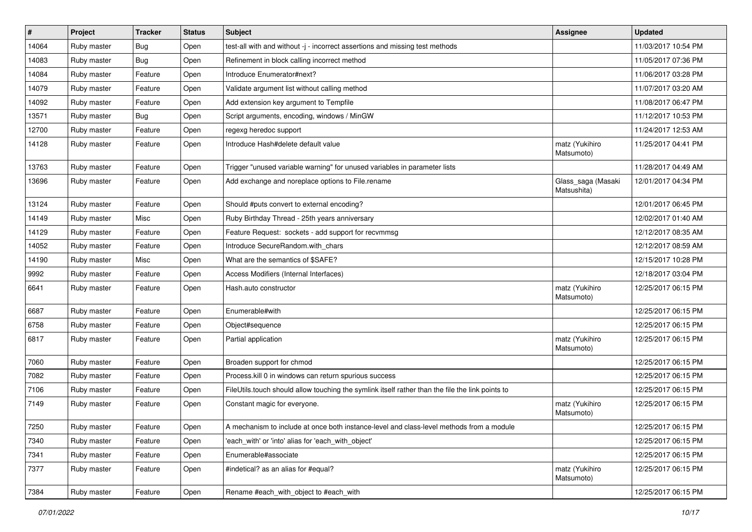| $\vert$ # | Project     | <b>Tracker</b> | <b>Status</b> | <b>Subject</b>                                                                                   | <b>Assignee</b>                   | <b>Updated</b>      |
|-----------|-------------|----------------|---------------|--------------------------------------------------------------------------------------------------|-----------------------------------|---------------------|
| 14064     | Ruby master | <b>Bug</b>     | Open          | test-all with and without -j - incorrect assertions and missing test methods                     |                                   | 11/03/2017 10:54 PM |
| 14083     | Ruby master | Bug            | Open          | Refinement in block calling incorrect method                                                     |                                   | 11/05/2017 07:36 PM |
| 14084     | Ruby master | Feature        | Open          | Introduce Enumerator#next?                                                                       |                                   | 11/06/2017 03:28 PM |
| 14079     | Ruby master | Feature        | Open          | Validate argument list without calling method                                                    |                                   | 11/07/2017 03:20 AM |
| 14092     | Ruby master | Feature        | Open          | Add extension key argument to Tempfile                                                           |                                   | 11/08/2017 06:47 PM |
| 13571     | Ruby master | <b>Bug</b>     | Open          | Script arguments, encoding, windows / MinGW                                                      |                                   | 11/12/2017 10:53 PM |
| 12700     | Ruby master | Feature        | Open          | regexg heredoc support                                                                           |                                   | 11/24/2017 12:53 AM |
| 14128     | Ruby master | Feature        | Open          | Introduce Hash#delete default value                                                              | matz (Yukihiro<br>Matsumoto)      | 11/25/2017 04:41 PM |
| 13763     | Ruby master | Feature        | Open          | Trigger "unused variable warning" for unused variables in parameter lists                        |                                   | 11/28/2017 04:49 AM |
| 13696     | Ruby master | Feature        | Open          | Add exchange and noreplace options to File.rename                                                | Glass_saga (Masaki<br>Matsushita) | 12/01/2017 04:34 PM |
| 13124     | Ruby master | Feature        | Open          | Should #puts convert to external encoding?                                                       |                                   | 12/01/2017 06:45 PM |
| 14149     | Ruby master | Misc           | Open          | Ruby Birthday Thread - 25th years anniversary                                                    |                                   | 12/02/2017 01:40 AM |
| 14129     | Ruby master | Feature        | Open          | Feature Request: sockets - add support for recvmmsg                                              |                                   | 12/12/2017 08:35 AM |
| 14052     | Ruby master | Feature        | Open          | Introduce SecureRandom.with chars                                                                |                                   | 12/12/2017 08:59 AM |
| 14190     | Ruby master | Misc           | Open          | What are the semantics of \$SAFE?                                                                |                                   | 12/15/2017 10:28 PM |
| 9992      | Ruby master | Feature        | Open          | Access Modifiers (Internal Interfaces)                                                           |                                   | 12/18/2017 03:04 PM |
| 6641      | Ruby master | Feature        | Open          | Hash.auto constructor                                                                            | matz (Yukihiro<br>Matsumoto)      | 12/25/2017 06:15 PM |
| 6687      | Ruby master | Feature        | Open          | Enumerable#with                                                                                  |                                   | 12/25/2017 06:15 PM |
| 6758      | Ruby master | Feature        | Open          | Object#sequence                                                                                  |                                   | 12/25/2017 06:15 PM |
| 6817      | Ruby master | Feature        | Open          | Partial application                                                                              | matz (Yukihiro<br>Matsumoto)      | 12/25/2017 06:15 PM |
| 7060      | Ruby master | Feature        | Open          | Broaden support for chmod                                                                        |                                   | 12/25/2017 06:15 PM |
| 7082      | Ruby master | Feature        | Open          | Process.kill 0 in windows can return spurious success                                            |                                   | 12/25/2017 06:15 PM |
| 7106      | Ruby master | Feature        | Open          | FileUtils.touch should allow touching the symlink itself rather than the file the link points to |                                   | 12/25/2017 06:15 PM |
| 7149      | Ruby master | Feature        | Open          | Constant magic for everyone.                                                                     | matz (Yukihiro<br>Matsumoto)      | 12/25/2017 06:15 PM |
| 7250      | Ruby master | Feature        | Open          | A mechanism to include at once both instance-level and class-level methods from a module         |                                   | 12/25/2017 06:15 PM |
| 7340      | Ruby master | Feature        | Open          | 'each with' or 'into' alias for 'each with object'                                               |                                   | 12/25/2017 06:15 PM |
| 7341      | Ruby master | Feature        | Open          | Enumerable#associate                                                                             |                                   | 12/25/2017 06:15 PM |
| 7377      | Ruby master | Feature        | Open          | #indetical? as an alias for #equal?                                                              | matz (Yukihiro<br>Matsumoto)      | 12/25/2017 06:15 PM |
| 7384      | Ruby master | Feature        | Open          | Rename #each with object to #each with                                                           |                                   | 12/25/2017 06:15 PM |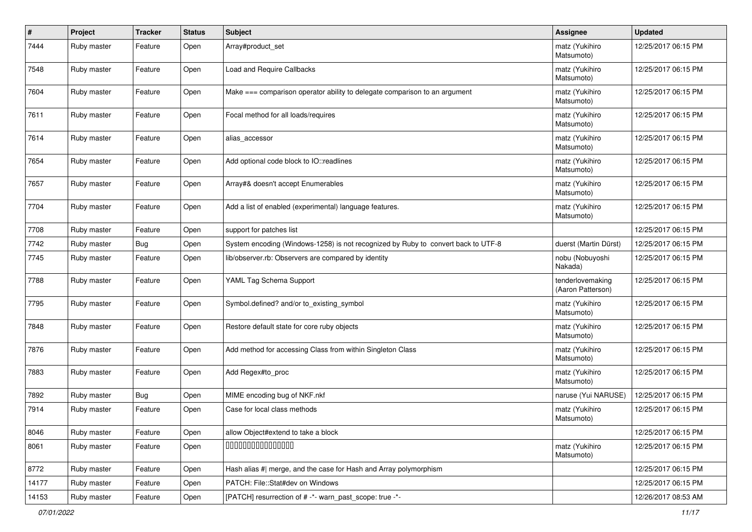| #     | Project     | <b>Tracker</b> | <b>Status</b> | <b>Subject</b>                                                                    | <b>Assignee</b>                       | <b>Updated</b>      |
|-------|-------------|----------------|---------------|-----------------------------------------------------------------------------------|---------------------------------------|---------------------|
| 7444  | Ruby master | Feature        | Open          | Array#product_set                                                                 | matz (Yukihiro<br>Matsumoto)          | 12/25/2017 06:15 PM |
| 7548  | Ruby master | Feature        | Open          | Load and Require Callbacks                                                        | matz (Yukihiro<br>Matsumoto)          | 12/25/2017 06:15 PM |
| 7604  | Ruby master | Feature        | Open          | Make === comparison operator ability to delegate comparison to an argument        | matz (Yukihiro<br>Matsumoto)          | 12/25/2017 06:15 PM |
| 7611  | Ruby master | Feature        | Open          | Focal method for all loads/requires                                               | matz (Yukihiro<br>Matsumoto)          | 12/25/2017 06:15 PM |
| 7614  | Ruby master | Feature        | Open          | alias_accessor                                                                    | matz (Yukihiro<br>Matsumoto)          | 12/25/2017 06:15 PM |
| 7654  | Ruby master | Feature        | Open          | Add optional code block to IO::readlines                                          | matz (Yukihiro<br>Matsumoto)          | 12/25/2017 06:15 PM |
| 7657  | Ruby master | Feature        | Open          | Array#& doesn't accept Enumerables                                                | matz (Yukihiro<br>Matsumoto)          | 12/25/2017 06:15 PM |
| 7704  | Ruby master | Feature        | Open          | Add a list of enabled (experimental) language features.                           | matz (Yukihiro<br>Matsumoto)          | 12/25/2017 06:15 PM |
| 7708  | Ruby master | Feature        | Open          | support for patches list                                                          |                                       | 12/25/2017 06:15 PM |
| 7742  | Ruby master | <b>Bug</b>     | Open          | System encoding (Windows-1258) is not recognized by Ruby to convert back to UTF-8 | duerst (Martin Dürst)                 | 12/25/2017 06:15 PM |
| 7745  | Ruby master | Feature        | Open          | lib/observer.rb: Observers are compared by identity                               | nobu (Nobuyoshi<br>Nakada)            | 12/25/2017 06:15 PM |
| 7788  | Ruby master | Feature        | Open          | YAML Tag Schema Support                                                           | tenderlovemaking<br>(Aaron Patterson) | 12/25/2017 06:15 PM |
| 7795  | Ruby master | Feature        | Open          | Symbol.defined? and/or to_existing_symbol                                         | matz (Yukihiro<br>Matsumoto)          | 12/25/2017 06:15 PM |
| 7848  | Ruby master | Feature        | Open          | Restore default state for core ruby objects                                       | matz (Yukihiro<br>Matsumoto)          | 12/25/2017 06:15 PM |
| 7876  | Ruby master | Feature        | Open          | Add method for accessing Class from within Singleton Class                        | matz (Yukihiro<br>Matsumoto)          | 12/25/2017 06:15 PM |
| 7883  | Ruby master | Feature        | Open          | Add Regex#to_proc                                                                 | matz (Yukihiro<br>Matsumoto)          | 12/25/2017 06:15 PM |
| 7892  | Ruby master | <b>Bug</b>     | Open          | MIME encoding bug of NKF.nkf                                                      | naruse (Yui NARUSE)                   | 12/25/2017 06:15 PM |
| 7914  | Ruby master | Feature        | Open          | Case for local class methods                                                      | matz (Yukihiro<br>Matsumoto)          | 12/25/2017 06:15 PM |
| 8046  | Ruby master | Feature        | Open          | allow Object#extend to take a block                                               |                                       | 12/25/2017 06:15 PM |
| 8061  | Ruby master | Feature        | Open          | 000000000000000                                                                   | matz (Yukihiro<br>Matsumoto)          | 12/25/2017 06:15 PM |
| 8772  | Ruby master | Feature        | Open          | Hash alias #  merge, and the case for Hash and Array polymorphism                 |                                       | 12/25/2017 06:15 PM |
| 14177 | Ruby master | Feature        | Open          | PATCH: File::Stat#dev on Windows                                                  |                                       | 12/25/2017 06:15 PM |
| 14153 | Ruby master | Feature        | Open          | [PATCH] resurrection of # -*- warn_past_scope: true -*-                           |                                       | 12/26/2017 08:53 AM |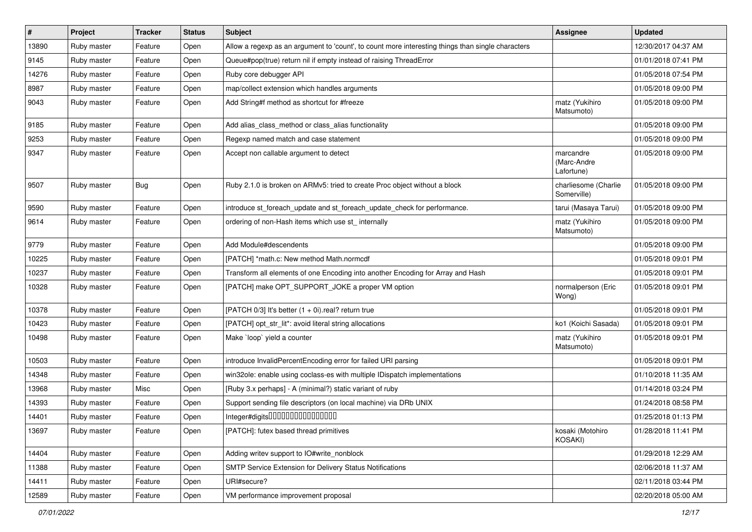| $\vert$ # | Project     | <b>Tracker</b> | <b>Status</b> | <b>Subject</b>                                                                                    | <b>Assignee</b>                        | <b>Updated</b>      |
|-----------|-------------|----------------|---------------|---------------------------------------------------------------------------------------------------|----------------------------------------|---------------------|
| 13890     | Ruby master | Feature        | Open          | Allow a regexp as an argument to 'count', to count more interesting things than single characters |                                        | 12/30/2017 04:37 AM |
| 9145      | Ruby master | Feature        | Open          | Queue#pop(true) return nil if empty instead of raising ThreadError                                |                                        | 01/01/2018 07:41 PM |
| 14276     | Ruby master | Feature        | Open          | Ruby core debugger API                                                                            |                                        | 01/05/2018 07:54 PM |
| 8987      | Ruby master | Feature        | Open          | map/collect extension which handles arguments                                                     |                                        | 01/05/2018 09:00 PM |
| 9043      | Ruby master | Feature        | Open          | Add String#f method as shortcut for #freeze                                                       | matz (Yukihiro<br>Matsumoto)           | 01/05/2018 09:00 PM |
| 9185      | Ruby master | Feature        | Open          | Add alias_class_method or class_alias functionality                                               |                                        | 01/05/2018 09:00 PM |
| 9253      | Ruby master | Feature        | Open          | Regexp named match and case statement                                                             |                                        | 01/05/2018 09:00 PM |
| 9347      | Ruby master | Feature        | Open          | Accept non callable argument to detect                                                            | marcandre<br>(Marc-Andre<br>Lafortune) | 01/05/2018 09:00 PM |
| 9507      | Ruby master | <b>Bug</b>     | Open          | Ruby 2.1.0 is broken on ARMv5: tried to create Proc object without a block                        | charliesome (Charlie<br>Somerville)    | 01/05/2018 09:00 PM |
| 9590      | Ruby master | Feature        | Open          | introduce st_foreach_update and st_foreach_update_check for performance.                          | tarui (Masaya Tarui)                   | 01/05/2018 09:00 PM |
| 9614      | Ruby master | Feature        | Open          | ordering of non-Hash items which use st_ internally                                               | matz (Yukihiro<br>Matsumoto)           | 01/05/2018 09:00 PM |
| 9779      | Ruby master | Feature        | Open          | Add Module#descendents                                                                            |                                        | 01/05/2018 09:00 PM |
| 10225     | Ruby master | Feature        | Open          | [PATCH] *math.c: New method Math.normcdf                                                          |                                        | 01/05/2018 09:01 PM |
| 10237     | Ruby master | Feature        | Open          | Transform all elements of one Encoding into another Encoding for Array and Hash                   |                                        | 01/05/2018 09:01 PM |
| 10328     | Ruby master | Feature        | Open          | [PATCH] make OPT_SUPPORT_JOKE a proper VM option                                                  | normalperson (Eric<br>Wong)            | 01/05/2018 09:01 PM |
| 10378     | Ruby master | Feature        | Open          | [PATCH 0/3] It's better $(1 + 0i)$ real? return true                                              |                                        | 01/05/2018 09:01 PM |
| 10423     | Ruby master | Feature        | Open          | [PATCH] opt_str_lit*: avoid literal string allocations                                            | ko1 (Koichi Sasada)                    | 01/05/2018 09:01 PM |
| 10498     | Ruby master | Feature        | Open          | Make `loop` yield a counter                                                                       | matz (Yukihiro<br>Matsumoto)           | 01/05/2018 09:01 PM |
| 10503     | Ruby master | Feature        | Open          | introduce InvalidPercentEncoding error for failed URI parsing                                     |                                        | 01/05/2018 09:01 PM |
| 14348     | Ruby master | Feature        | Open          | win32ole: enable using coclass-es with multiple IDispatch implementations                         |                                        | 01/10/2018 11:35 AM |
| 13968     | Ruby master | Misc           | Open          | [Ruby 3.x perhaps] - A (minimal?) static variant of ruby                                          |                                        | 01/14/2018 03:24 PM |
| 14393     | Ruby master | Feature        | Open          | Support sending file descriptors (on local machine) via DRb UNIX                                  |                                        | 01/24/2018 08:58 PM |
| 14401     | Ruby master | Feature        | Open          | Integer#digits0000000000000000                                                                    |                                        | 01/25/2018 01:13 PM |
| 13697     | Ruby master | Feature        | Open          | [PATCH]: futex based thread primitives                                                            | kosaki (Motohiro<br>KOSAKI)            | 01/28/2018 11:41 PM |
| 14404     | Ruby master | Feature        | Open          | Adding writev support to IO#write_nonblock                                                        |                                        | 01/29/2018 12:29 AM |
| 11388     | Ruby master | Feature        | Open          | SMTP Service Extension for Delivery Status Notifications                                          |                                        | 02/06/2018 11:37 AM |
| 14411     | Ruby master | Feature        | Open          | URI#secure?                                                                                       |                                        | 02/11/2018 03:44 PM |
| 12589     | Ruby master | Feature        | Open          | VM performance improvement proposal                                                               |                                        | 02/20/2018 05:00 AM |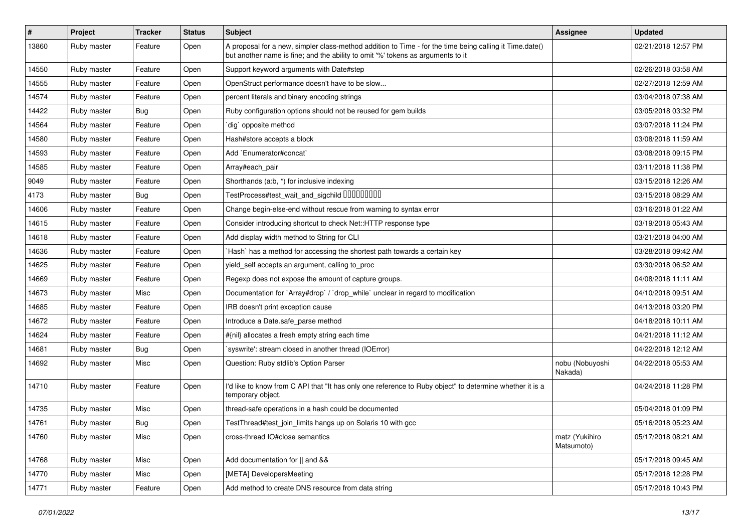| $\vert$ # | Project     | Tracker          | <b>Status</b> | <b>Subject</b>                                                                                                                                                                             | Assignee                     | <b>Updated</b>      |
|-----------|-------------|------------------|---------------|--------------------------------------------------------------------------------------------------------------------------------------------------------------------------------------------|------------------------------|---------------------|
| 13860     | Ruby master | Feature          | Open          | A proposal for a new, simpler class-method addition to Time - for the time being calling it Time.date()<br>but another name is fine; and the ability to omit '%' tokens as arguments to it |                              | 02/21/2018 12:57 PM |
| 14550     | Ruby master | Feature          | Open          | Support keyword arguments with Date#step                                                                                                                                                   |                              | 02/26/2018 03:58 AM |
| 14555     | Ruby master | Feature          | Open          | OpenStruct performance doesn't have to be slow                                                                                                                                             |                              | 02/27/2018 12:59 AM |
| 14574     | Ruby master | Feature          | Open          | percent literals and binary encoding strings                                                                                                                                               |                              | 03/04/2018 07:38 AM |
| 14422     | Ruby master | <b>Bug</b>       | Open          | Ruby configuration options should not be reused for gem builds                                                                                                                             |                              | 03/05/2018 03:32 PM |
| 14564     | Ruby master | Feature          | Open          | dig` opposite method                                                                                                                                                                       |                              | 03/07/2018 11:24 PM |
| 14580     | Ruby master | Feature          | Open          | Hash#store accepts a block                                                                                                                                                                 |                              | 03/08/2018 11:59 AM |
| 14593     | Ruby master | Feature          | Open          | Add `Enumerator#concat`                                                                                                                                                                    |                              | 03/08/2018 09:15 PM |
| 14585     | Ruby master | Feature          | Open          | Array#each_pair                                                                                                                                                                            |                              | 03/11/2018 11:38 PM |
| 9049      | Ruby master | Feature          | Open          | Shorthands (a.b, *) for inclusive indexing                                                                                                                                                 |                              | 03/15/2018 12:26 AM |
| 4173      | Ruby master | <b>Bug</b>       | Open          | TestProcess#test_wait_and_sigchild 00000000                                                                                                                                                |                              | 03/15/2018 08:29 AM |
| 14606     | Ruby master | Feature          | Open          | Change begin-else-end without rescue from warning to syntax error                                                                                                                          |                              | 03/16/2018 01:22 AM |
| 14615     | Ruby master | Feature          | Open          | Consider introducing shortcut to check Net::HTTP response type                                                                                                                             |                              | 03/19/2018 05:43 AM |
| 14618     | Ruby master | Feature          | Open          | Add display width method to String for CLI                                                                                                                                                 |                              | 03/21/2018 04:00 AM |
| 14636     | Ruby master | Feature          | Open          | Hash` has a method for accessing the shortest path towards a certain key                                                                                                                   |                              | 03/28/2018 09:42 AM |
| 14625     | Ruby master | Feature          | Open          | yield_self accepts an argument, calling to_proc                                                                                                                                            |                              | 03/30/2018 06:52 AM |
| 14669     | Ruby master | Feature          | Open          | Regexp does not expose the amount of capture groups.                                                                                                                                       |                              | 04/08/2018 11:11 AM |
| 14673     | Ruby master | Misc             | Open          | Documentation for `Array#drop` / `drop while` unclear in regard to modification                                                                                                            |                              | 04/10/2018 09:51 AM |
| 14685     | Ruby master | Feature          | Open          | IRB doesn't print exception cause                                                                                                                                                          |                              | 04/13/2018 03:20 PM |
| 14672     | Ruby master | Feature          | Open          | Introduce a Date.safe parse method                                                                                                                                                         |                              | 04/18/2018 10:11 AM |
| 14624     | Ruby master | Feature          | Open          | #{nil} allocates a fresh empty string each time                                                                                                                                            |                              | 04/21/2018 11:12 AM |
| 14681     | Ruby master | <b>Bug</b>       | Open          | 'syswrite': stream closed in another thread (IOError)                                                                                                                                      |                              | 04/22/2018 12:12 AM |
| 14692     | Ruby master | Misc             | Open          | Question: Ruby stdlib's Option Parser                                                                                                                                                      | nobu (Nobuyoshi<br>Nakada)   | 04/22/2018 05:53 AM |
| 14710     | Ruby master | Feature          | Open          | I'd like to know from C API that "It has only one reference to Ruby object" to determine whether it is a<br>temporary object.                                                              |                              | 04/24/2018 11:28 PM |
| 14735     | Ruby master | Misc             | Open          | thread-safe operations in a hash could be documented                                                                                                                                       |                              | 05/04/2018 01:09 PM |
| 14761     | Ruby master | <sub>i</sub> Bug | Open          | TestThread#test_join_limits hangs up on Solaris 10 with gcc                                                                                                                                |                              | 05/16/2018 05:23 AM |
| 14760     | Ruby master | Misc             | Open          | cross-thread IO#close semantics                                                                                                                                                            | matz (Yukihiro<br>Matsumoto) | 05/17/2018 08:21 AM |
| 14768     | Ruby master | Misc             | Open          | Add documentation for    and &&                                                                                                                                                            |                              | 05/17/2018 09:45 AM |
| 14770     | Ruby master | Misc             | Open          | [META] DevelopersMeeting                                                                                                                                                                   |                              | 05/17/2018 12:28 PM |
| 14771     | Ruby master | Feature          | Open          | Add method to create DNS resource from data string                                                                                                                                         |                              | 05/17/2018 10:43 PM |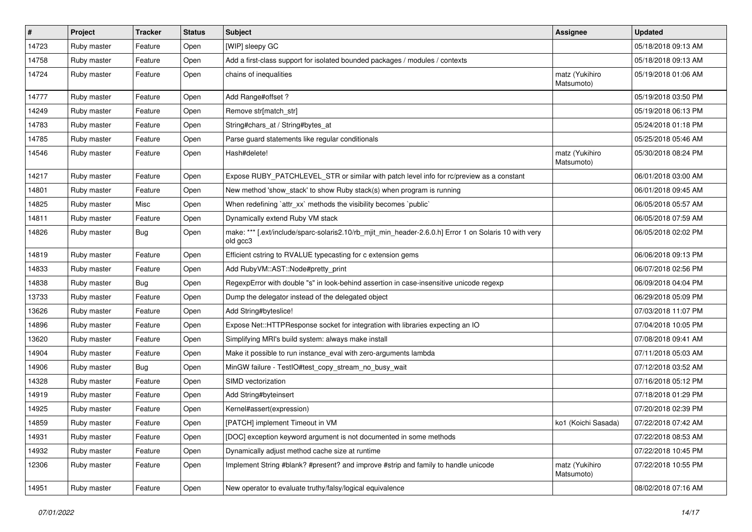| $\vert$ # | Project     | <b>Tracker</b> | <b>Status</b> | <b>Subject</b>                                                                                                    | <b>Assignee</b>              | <b>Updated</b>      |
|-----------|-------------|----------------|---------------|-------------------------------------------------------------------------------------------------------------------|------------------------------|---------------------|
| 14723     | Ruby master | Feature        | Open          | [WIP] sleepy GC                                                                                                   |                              | 05/18/2018 09:13 AM |
| 14758     | Ruby master | Feature        | Open          | Add a first-class support for isolated bounded packages / modules / contexts                                      |                              | 05/18/2018 09:13 AM |
| 14724     | Ruby master | Feature        | Open          | chains of inequalities                                                                                            | matz (Yukihiro<br>Matsumoto) | 05/19/2018 01:06 AM |
| 14777     | Ruby master | Feature        | Open          | Add Range#offset?                                                                                                 |                              | 05/19/2018 03:50 PM |
| 14249     | Ruby master | Feature        | Open          | Remove str[match_str]                                                                                             |                              | 05/19/2018 06:13 PM |
| 14783     | Ruby master | Feature        | Open          | String#chars_at / String#bytes_at                                                                                 |                              | 05/24/2018 01:18 PM |
| 14785     | Ruby master | Feature        | Open          | Parse guard statements like regular conditionals                                                                  |                              | 05/25/2018 05:46 AM |
| 14546     | Ruby master | Feature        | Open          | Hash#delete!                                                                                                      | matz (Yukihiro<br>Matsumoto) | 05/30/2018 08:24 PM |
| 14217     | Ruby master | Feature        | Open          | Expose RUBY_PATCHLEVEL_STR or similar with patch level info for rc/preview as a constant                          |                              | 06/01/2018 03:00 AM |
| 14801     | Ruby master | Feature        | Open          | New method 'show_stack' to show Ruby stack(s) when program is running                                             |                              | 06/01/2018 09:45 AM |
| 14825     | Ruby master | Misc           | Open          | When redefining 'attr_xx' methods the visibility becomes 'public'                                                 |                              | 06/05/2018 05:57 AM |
| 14811     | Ruby master | Feature        | Open          | Dynamically extend Ruby VM stack                                                                                  |                              | 06/05/2018 07:59 AM |
| 14826     | Ruby master | <b>Bug</b>     | Open          | make: *** [.ext/include/sparc-solaris2.10/rb_mjit_min_header-2.6.0.h] Error 1 on Solaris 10 with very<br>old gcc3 |                              | 06/05/2018 02:02 PM |
| 14819     | Ruby master | Feature        | Open          | Efficient cstring to RVALUE typecasting for c extension gems                                                      |                              | 06/06/2018 09:13 PM |
| 14833     | Ruby master | Feature        | Open          | Add RubyVM::AST::Node#pretty_print                                                                                |                              | 06/07/2018 02:56 PM |
| 14838     | Ruby master | <b>Bug</b>     | Open          | RegexpError with double "s" in look-behind assertion in case-insensitive unicode regexp                           |                              | 06/09/2018 04:04 PM |
| 13733     | Ruby master | Feature        | Open          | Dump the delegator instead of the delegated object                                                                |                              | 06/29/2018 05:09 PM |
| 13626     | Ruby master | Feature        | Open          | Add String#byteslice!                                                                                             |                              | 07/03/2018 11:07 PM |
| 14896     | Ruby master | Feature        | Open          | Expose Net::HTTPResponse socket for integration with libraries expecting an IO                                    |                              | 07/04/2018 10:05 PM |
| 13620     | Ruby master | Feature        | Open          | Simplifying MRI's build system: always make install                                                               |                              | 07/08/2018 09:41 AM |
| 14904     | Ruby master | Feature        | Open          | Make it possible to run instance_eval with zero-arguments lambda                                                  |                              | 07/11/2018 05:03 AM |
| 14906     | Ruby master | Bug            | Open          | MinGW failure - TestIO#test_copy_stream_no_busy_wait                                                              |                              | 07/12/2018 03:52 AM |
| 14328     | Ruby master | Feature        | Open          | SIMD vectorization                                                                                                |                              | 07/16/2018 05:12 PM |
| 14919     | Ruby master | Feature        | Open          | Add String#byteinsert                                                                                             |                              | 07/18/2018 01:29 PM |
| 14925     | Ruby master | Feature        | Open          | Kernel#assert(expression)                                                                                         |                              | 07/20/2018 02:39 PM |
| 14859     | Ruby master | Feature        | Open          | [PATCH] implement Timeout in VM                                                                                   | ko1 (Koichi Sasada)          | 07/22/2018 07:42 AM |
| 14931     | Ruby master | Feature        | Open          | [DOC] exception keyword argument is not documented in some methods                                                |                              | 07/22/2018 08:53 AM |
| 14932     | Ruby master | Feature        | Open          | Dynamically adjust method cache size at runtime                                                                   |                              | 07/22/2018 10:45 PM |
| 12306     | Ruby master | Feature        | Open          | Implement String #blank? #present? and improve #strip and family to handle unicode                                | matz (Yukihiro<br>Matsumoto) | 07/22/2018 10:55 PM |
| 14951     | Ruby master | Feature        | Open          | New operator to evaluate truthy/falsy/logical equivalence                                                         |                              | 08/02/2018 07:16 AM |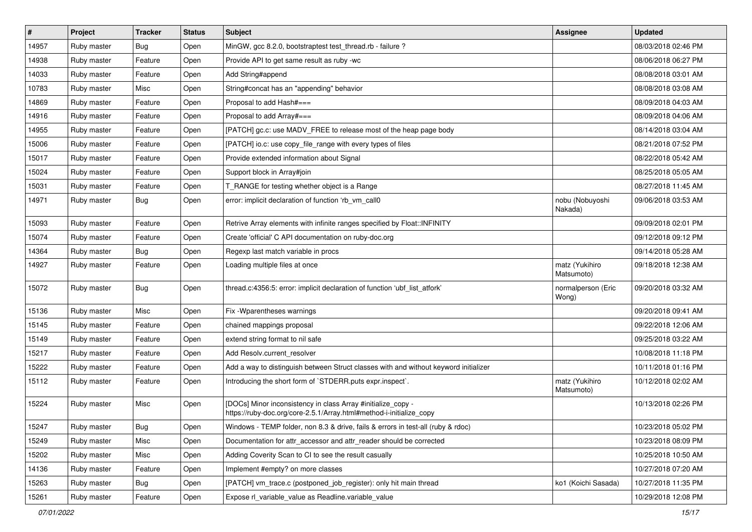| $\vert$ # | Project     | <b>Tracker</b> | <b>Status</b> | <b>Subject</b>                                                                                                                      | <b>Assignee</b>              | <b>Updated</b>      |
|-----------|-------------|----------------|---------------|-------------------------------------------------------------------------------------------------------------------------------------|------------------------------|---------------------|
| 14957     | Ruby master | <b>Bug</b>     | Open          | MinGW, gcc 8.2.0, bootstraptest test_thread.rb - failure ?                                                                          |                              | 08/03/2018 02:46 PM |
| 14938     | Ruby master | Feature        | Open          | Provide API to get same result as ruby -wc                                                                                          |                              | 08/06/2018 06:27 PM |
| 14033     | Ruby master | Feature        | Open          | Add String#append                                                                                                                   |                              | 08/08/2018 03:01 AM |
| 10783     | Ruby master | Misc           | Open          | String#concat has an "appending" behavior                                                                                           |                              | 08/08/2018 03:08 AM |
| 14869     | Ruby master | Feature        | Open          | Proposal to add Hash#===                                                                                                            |                              | 08/09/2018 04:03 AM |
| 14916     | Ruby master | Feature        | Open          | Proposal to add Array#===                                                                                                           |                              | 08/09/2018 04:06 AM |
| 14955     | Ruby master | Feature        | Open          | [PATCH] gc.c: use MADV_FREE to release most of the heap page body                                                                   |                              | 08/14/2018 03:04 AM |
| 15006     | Ruby master | Feature        | Open          | [PATCH] io.c: use copy_file_range with every types of files                                                                         |                              | 08/21/2018 07:52 PM |
| 15017     | Ruby master | Feature        | Open          | Provide extended information about Signal                                                                                           |                              | 08/22/2018 05:42 AM |
| 15024     | Ruby master | Feature        | Open          | Support block in Array#join                                                                                                         |                              | 08/25/2018 05:05 AM |
| 15031     | Ruby master | Feature        | Open          | T_RANGE for testing whether object is a Range                                                                                       |                              | 08/27/2018 11:45 AM |
| 14971     | Ruby master | <b>Bug</b>     | Open          | error: implicit declaration of function 'rb_vm_call0                                                                                | nobu (Nobuyoshi<br>Nakada)   | 09/06/2018 03:53 AM |
| 15093     | Ruby master | Feature        | Open          | Retrive Array elements with infinite ranges specified by Float:: INFINITY                                                           |                              | 09/09/2018 02:01 PM |
| 15074     | Ruby master | Feature        | Open          | Create 'official' C API documentation on ruby-doc.org                                                                               |                              | 09/12/2018 09:12 PM |
| 14364     | Ruby master | <b>Bug</b>     | Open          | Regexp last match variable in procs                                                                                                 |                              | 09/14/2018 05:28 AM |
| 14927     | Ruby master | Feature        | Open          | Loading multiple files at once                                                                                                      | matz (Yukihiro<br>Matsumoto) | 09/18/2018 12:38 AM |
| 15072     | Ruby master | <b>Bug</b>     | Open          | thread.c:4356:5: error: implicit declaration of function 'ubf_list_atfork'                                                          | normalperson (Eric<br>Wong)  | 09/20/2018 03:32 AM |
| 15136     | Ruby master | Misc           | Open          | Fix - Wparentheses warnings                                                                                                         |                              | 09/20/2018 09:41 AM |
| 15145     | Ruby master | Feature        | Open          | chained mappings proposal                                                                                                           |                              | 09/22/2018 12:06 AM |
| 15149     | Ruby master | Feature        | Open          | extend string format to nil safe                                                                                                    |                              | 09/25/2018 03:22 AM |
| 15217     | Ruby master | Feature        | Open          | Add Resolv.current_resolver                                                                                                         |                              | 10/08/2018 11:18 PM |
| 15222     | Ruby master | Feature        | Open          | Add a way to distinguish between Struct classes with and without keyword initializer                                                |                              | 10/11/2018 01:16 PM |
| 15112     | Ruby master | Feature        | Open          | Introducing the short form of `STDERR.puts expr.inspect`.                                                                           | matz (Yukihiro<br>Matsumoto) | 10/12/2018 02:02 AM |
| 15224     | Ruby master | Misc           | Open          | [DOCs] Minor inconsistency in class Array #initialize_copy -<br>https://ruby-doc.org/core-2.5.1/Array.html#method-i-initialize_copy |                              | 10/13/2018 02:26 PM |
| 15247     | Ruby master | <b>Bug</b>     | Open          | Windows - TEMP folder, non 8.3 & drive, fails & errors in test-all (ruby & rdoc)                                                    |                              | 10/23/2018 05:02 PM |
| 15249     | Ruby master | Misc           | Open          | Documentation for attr_accessor and attr_reader should be corrected                                                                 |                              | 10/23/2018 08:09 PM |
| 15202     | Ruby master | Misc           | Open          | Adding Coverity Scan to CI to see the result casually                                                                               |                              | 10/25/2018 10:50 AM |
| 14136     | Ruby master | Feature        | Open          | Implement #empty? on more classes                                                                                                   |                              | 10/27/2018 07:20 AM |
| 15263     | Ruby master | Bug            | Open          | [PATCH] vm_trace.c (postponed_job_register): only hit main thread                                                                   | ko1 (Koichi Sasada)          | 10/27/2018 11:35 PM |
| 15261     | Ruby master | Feature        | Open          | Expose rl_variable_value as Readline.variable_value                                                                                 |                              | 10/29/2018 12:08 PM |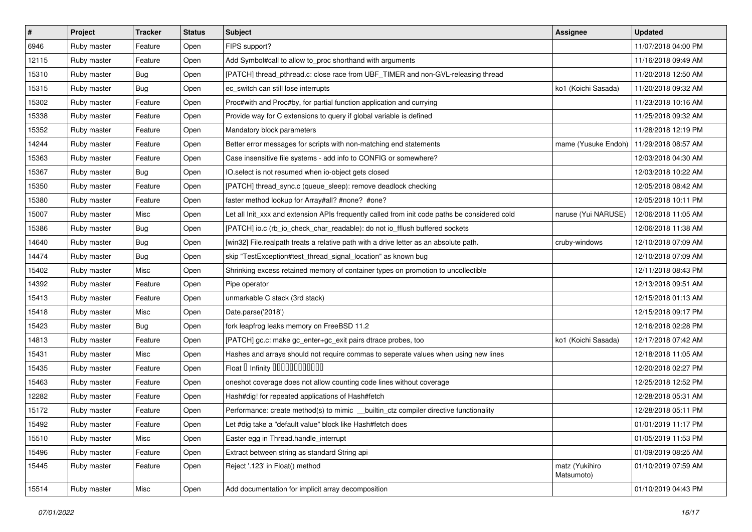| $\vert$ # | Project     | <b>Tracker</b> | <b>Status</b> | <b>Subject</b>                                                                                | Assignee                     | <b>Updated</b>      |
|-----------|-------------|----------------|---------------|-----------------------------------------------------------------------------------------------|------------------------------|---------------------|
| 6946      | Ruby master | Feature        | Open          | FIPS support?                                                                                 |                              | 11/07/2018 04:00 PM |
| 12115     | Ruby master | Feature        | Open          | Add Symbol#call to allow to_proc shorthand with arguments                                     |                              | 11/16/2018 09:49 AM |
| 15310     | Ruby master | <b>Bug</b>     | Open          | [PATCH] thread_pthread.c: close race from UBF_TIMER and non-GVL-releasing thread              |                              | 11/20/2018 12:50 AM |
| 15315     | Ruby master | <b>Bug</b>     | Open          | ec_switch can still lose interrupts                                                           | ko1 (Koichi Sasada)          | 11/20/2018 09:32 AM |
| 15302     | Ruby master | Feature        | Open          | Proc#with and Proc#by, for partial function application and currying                          |                              | 11/23/2018 10:16 AM |
| 15338     | Ruby master | Feature        | Open          | Provide way for C extensions to query if global variable is defined                           |                              | 11/25/2018 09:32 AM |
| 15352     | Ruby master | Feature        | Open          | Mandatory block parameters                                                                    |                              | 11/28/2018 12:19 PM |
| 14244     | Ruby master | Feature        | Open          | Better error messages for scripts with non-matching end statements                            | mame (Yusuke Endoh)          | 11/29/2018 08:57 AM |
| 15363     | Ruby master | Feature        | Open          | Case insensitive file systems - add info to CONFIG or somewhere?                              |                              | 12/03/2018 04:30 AM |
| 15367     | Ruby master | <b>Bug</b>     | Open          | IO.select is not resumed when io-object gets closed                                           |                              | 12/03/2018 10:22 AM |
| 15350     | Ruby master | Feature        | Open          | [PATCH] thread_sync.c (queue_sleep): remove deadlock checking                                 |                              | 12/05/2018 08:42 AM |
| 15380     | Ruby master | Feature        | Open          | faster method lookup for Array#all? #none? #one?                                              |                              | 12/05/2018 10:11 PM |
| 15007     | Ruby master | Misc           | Open          | Let all Init_xxx and extension APIs frequently called from init code paths be considered cold | naruse (Yui NARUSE)          | 12/06/2018 11:05 AM |
| 15386     | Ruby master | <b>Bug</b>     | Open          | [PATCH] io.c (rb_io_check_char_readable): do not io_fflush buffered sockets                   |                              | 12/06/2018 11:38 AM |
| 14640     | Ruby master | <b>Bug</b>     | Open          | [win32] File.realpath treats a relative path with a drive letter as an absolute path.         | cruby-windows                | 12/10/2018 07:09 AM |
| 14474     | Ruby master | <b>Bug</b>     | Open          | skip "TestException#test_thread_signal_location" as known bug                                 |                              | 12/10/2018 07:09 AM |
| 15402     | Ruby master | Misc           | Open          | Shrinking excess retained memory of container types on promotion to uncollectible             |                              | 12/11/2018 08:43 PM |
| 14392     | Ruby master | Feature        | Open          | Pipe operator                                                                                 |                              | 12/13/2018 09:51 AM |
| 15413     | Ruby master | Feature        | Open          | unmarkable C stack (3rd stack)                                                                |                              | 12/15/2018 01:13 AM |
| 15418     | Ruby master | Misc           | Open          | Date.parse('2018')                                                                            |                              | 12/15/2018 09:17 PM |
| 15423     | Ruby master | <b>Bug</b>     | Open          | fork leapfrog leaks memory on FreeBSD 11.2                                                    |                              | 12/16/2018 02:28 PM |
| 14813     | Ruby master | Feature        | Open          | [PATCH] gc.c: make gc_enter+gc_exit pairs dtrace probes, too                                  | ko1 (Koichi Sasada)          | 12/17/2018 07:42 AM |
| 15431     | Ruby master | Misc           | Open          | Hashes and arrays should not require commas to seperate values when using new lines           |                              | 12/18/2018 11:05 AM |
| 15435     | Ruby master | Feature        | Open          | Float I Infinity 000000000000                                                                 |                              | 12/20/2018 02:27 PM |
| 15463     | Ruby master | Feature        | Open          | oneshot coverage does not allow counting code lines without coverage                          |                              | 12/25/2018 12:52 PM |
| 12282     | Ruby master | Feature        | Open          | Hash#dig! for repeated applications of Hash#fetch                                             |                              | 12/28/2018 05:31 AM |
| 15172     | Ruby master | Feature        | Open          | Performance: create method(s) to mimic _builtin_ctz compiler directive functionality          |                              | 12/28/2018 05:11 PM |
| 15492     | Ruby master | Feature        | Open          | Let #dig take a "default value" block like Hash#fetch does                                    |                              | 01/01/2019 11:17 PM |
| 15510     | Ruby master | Misc           | Open          | Easter egg in Thread.handle interrupt                                                         |                              | 01/05/2019 11:53 PM |
| 15496     | Ruby master | Feature        | Open          | Extract between string as standard String api                                                 |                              | 01/09/2019 08:25 AM |
| 15445     | Ruby master | Feature        | Open          | Reject '.123' in Float() method                                                               | matz (Yukihiro<br>Matsumoto) | 01/10/2019 07:59 AM |
| 15514     | Ruby master | Misc           | Open          | Add documentation for implicit array decomposition                                            |                              | 01/10/2019 04:43 PM |